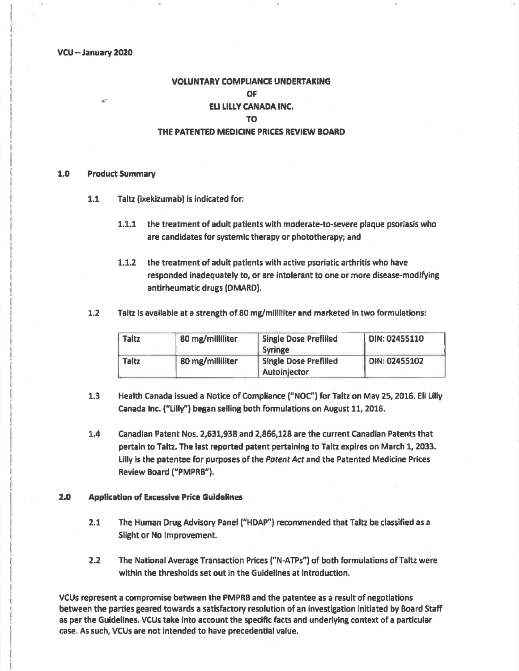VCU -- January 2020

# **VOLUNTARY COMPLIANCE UNDERTAKING OF** ELI LILLY CANADA INC. TO<sub>1</sub> THE PATENTED MEDICINE PRICES REVIEW BOARD

#### $1.0$ **Product Summary**

à,

- $1.1$ Taltz (ixekizumab) is indicated for:
	- 1.1.1 the treatment of adult patients with moderate-to-severe plaque psoriasis who are candidates for systemic therapy or phototherapy; and
	- $1.1.2$ the treatment of adult patients with active psoriatic arthritis who have responded inadequately to, or are intolerant to one or more disease-modifying antirheumatic drugs (DMARD).
- $1.2$ Taltz is available at a strength of 80 mg/milliliter and marketed in two formulations:

| <b>Taltz</b> | 80 mg/milliliter | <b>Single Dose Prefilled</b> | DIN: 02455110 |
|--------------|------------------|------------------------------|---------------|
|              |                  | <b>Syringe</b>               |               |
| Taltz        | 80 mg/milliliter | <b>Single Dose Prefilled</b> | DIN: 02455102 |
|              |                  | Autoinjector                 |               |

- Health Canada issued a Notice of Compliance ("NOC") for Taltz on May 25, 2016. Eli Lilly  $1.3$ Canada Inc. ("Lilly") began selling both formulations on August 11, 2016.
- $1.4$ Canadian Patent Nos. 2,631,938 and 2,866,128 are the current Canadian Patents that pertain to Taltz. The last reported patent pertaining to Taltz expires on March 1, 2033. Lilly is the patentee for purposes of the Patent Act and the Patented Medicine Prices Review Board ("PMPRB").

#### $2.0$ **Application of Excessive Price Guidelines**

- $2.1$ The Human Drug Advisory Panel ("HDAP") recommended that Taltz be classified as a Slight or No Improvement.
- $2.2$ The National Average Transaction Prices ("N-ATPs") of both formulations of Taltz were within the thresholds set out in the Guidelines at introduction.

VCUs represent a compromise between the PMPRB and the patentee as a result of negotiations between the parties geared towards a satisfactory resolution of an investigation initiated by Board Staff as per the Guidelines. VCUs take into account the specific facts and underlying context of a particular case. As such, VCUs are not intended to have precedential value.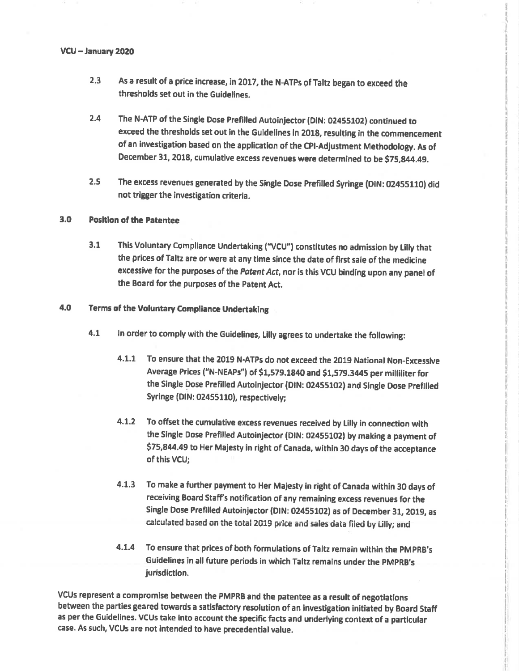### VCU -January 2020

- As a result of a price increase, in 2017, the N-ATPs of Taltz began to exceed the thresholds set out in the Guidelines. 2.3
- 2.4 The N-ATP of the Single Dose Prefilled Autoinjector (DIN: 02455102) continued to exceed the thresholds set out in the Guldelines in 2018, resulting in the commencement of an investigation based on the application of the CPI-Adjustment Methodology. As of December 31, 2018, cumulative excess revenues were determined to be \$75,g44.49.
- 2.5 The excess revenues generated by the Single Dose Prefilled Syringe (DIN: 02455110) did not trigger the investigation criteria.

### 3.0 Position of the Patentee

3.1 This Voluntary Compliance Undertaking ("VCU") constitutes no admission by Lilly that the prices of Taltz are or were at any time since the date of first sale of the medicine excessive for the purposes of the Patent Act, nor is this VCU binding upon any panel of the Board for the purposes of the Patent Act.

## 4.O Terms of the Voluntery Compliance Undertaklng

- 4.1 ln order to comply with the Guidelines, Lllly agrees to undertake the following:
	- 4.1.1 To ensure that the 2019 N-ATPs do not exceed the 2019 National Non-Excessive Average Prices ("N-NEAPs") of \$1,579.1840 and \$1,579.3445 per milliliter for the Single Dose Prefilled Autoinjector (DIN: 02455102) and Single Dose Prefilled Syringe (DIN: 02455110), respectively;
	- 4.L.2 To offset the cumulative excess revenues received by tilly in connection with the Single Dose Prefilled Autoinjector (DIN: 02455102) by making a payment of \$75,844.49 to Her Majesty in right of Canada, within 30 days of the acceptance of this VCU;
	- 4.1.3 To make a further payment to Her Majesty in right of Canada within 30 days of receiving Board Staff's notification of any remaining excess revenues for the Single Dose Prefilled Autoinjector (DIN: 02455102) as of December 31, 2019, as calculated based on the total 2019 price and sales data filed by Lilly; and
	- 4.î.4 To ensure that prices of both formulations of Taltz remain wlthin the pMpRB's Guidelines in all future periods in which Taltz remains under the PMPRB's jurisdiction.

VCUs represent a compromise between the PMPRB and the patentee as a resutt of negotlatlons between the parties geared towards a satisfactory resolution of an investigation initiated by Board Staff as per the Guidelines. VCUs take into account the specific facts and underlying context of a particular case. As such, VCUs are not intended to have precedential value.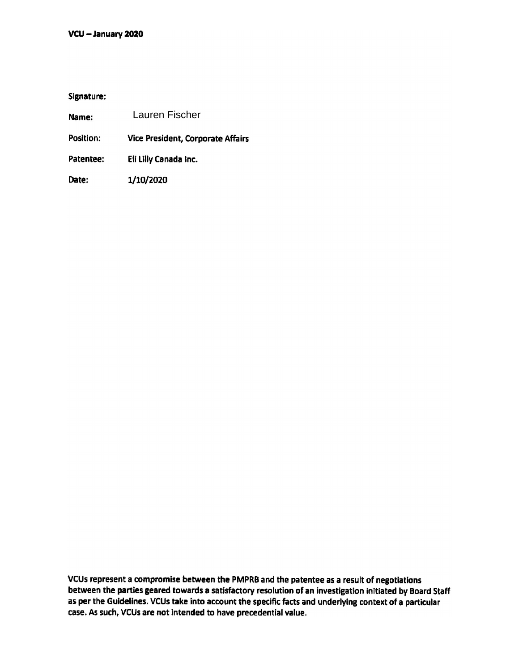Signature:

| Name:            | Lauren Fischer                           |
|------------------|------------------------------------------|
| <b>Position:</b> | <b>Vice President, Corporate Affairs</b> |
| Patentee:        | Eli Lilly Canada Inc.                    |
| Date:            | 1/10/2020                                |

VCUs represent a compromise between the PMPRB and the patentee as a result of negotiations between the parties geared towards a satisfactory resolution of an investigation initiated by Board Staff<br>as per the Guidelines. VCUs take into account the specific facts and underlying context of a particular case. As such, VCUs are not intended to have precedential value. as per the Guldelines. VCUs take into account the specific facts and underlying context of a particular facts and underlying context of a particular facts and underlying context of a particular facts and underlying contex